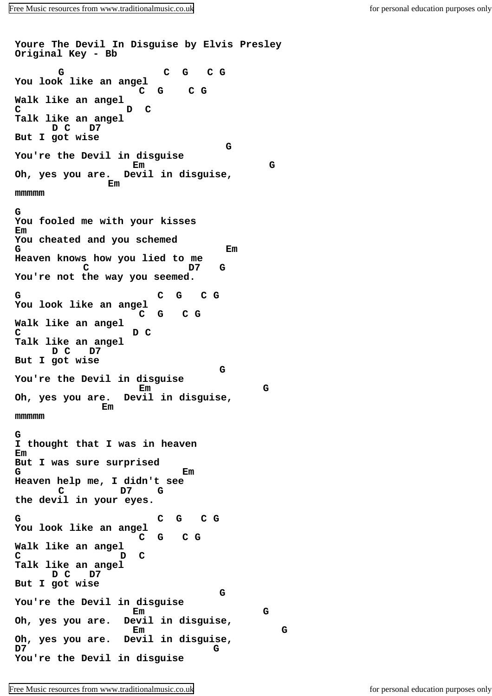**Youre The Devil In Disguise by Elvis Presley Original Key - Bb G C G C G You look like an angel C G C G Walk like an angel C D C Talk like an angel D C D7 But I got wise G You're the Devil in disguise Em G Oh, yes you are. Devil in disguise, Employee Strategie mmmmm G You fooled me with your kisses Em You cheated and you schemed G Em Heaven knows how you lied to me C D7 G You're not the way you seemed. G C G C G You look like an angel C G C G Walk like an angel C D C Talk like an angel D C D7 But I got wise G You're the Devil in disguise Em G Oh, yes you are. Devil in disguise, Employee Strategie mmmmm G I thought that I was in heaven Em But I was sure surprised G Em Heaven help me, I didn't see C D7 G the devil in your eyes. G C G C G You look like an angel C G C G Walk like an angel C D C Talk like an angel D C D7 But I got wise G You're the Devil in disguise Em G Oh, yes you are. Devil in disguise, Em G Oh, yes you are. Devil in disguise, D7 G You're the Devil in disguise**

[Free Music resources from www.traditionalmusic.co.uk](http://www.traditionalmusic.co.uk) for personal education purposes only